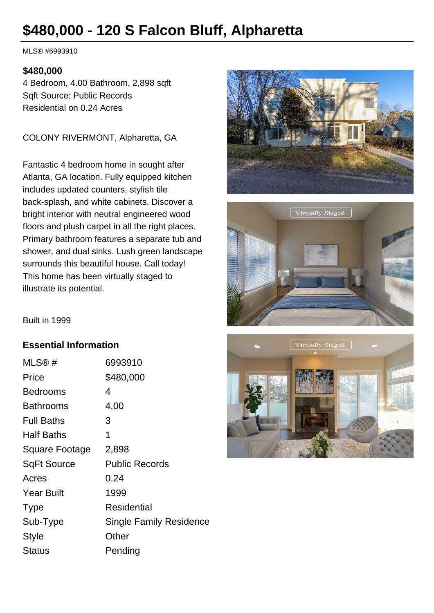# **\$480,000 - 120 S Falcon Bluff, Alpharetta**

MLS® #6993910

#### **\$480,000**

4 Bedroom, 4.00 Bathroom, 2,898 sqft Sqft Source: Public Records Residential on 0.24 Acres

COLONY RIVERMONT, Alpharetta, GA

Fantastic 4 bedroom home in sought after Atlanta, GA location. Fully equipped kitchen includes updated counters, stylish tile back-splash, and white cabinets. Discover a bright interior with neutral engineered wood floors and plush carpet in all the right places. Primary bathroom features a separate tub and shower, and dual sinks. Lush green landscape surrounds this beautiful house. Call today! This home has been virtually staged to illustrate its potential.





Built in 1999

#### **Essential Information**

| MLS@#              | 6993910                        |
|--------------------|--------------------------------|
| Price              | \$480,000                      |
| <b>Bedrooms</b>    | 4                              |
| <b>Bathrooms</b>   | 4.00                           |
| <b>Full Baths</b>  | 3                              |
| <b>Half Baths</b>  | 1                              |
| Square Footage     | 2,898                          |
| <b>SqFt Source</b> | <b>Public Records</b>          |
| Acres              | 0.24                           |
| <b>Year Built</b>  | 1999                           |
| <b>Type</b>        | Residential                    |
| Sub-Type           | <b>Single Family Residence</b> |
| Style              | Other                          |
| Status             | Pending                        |

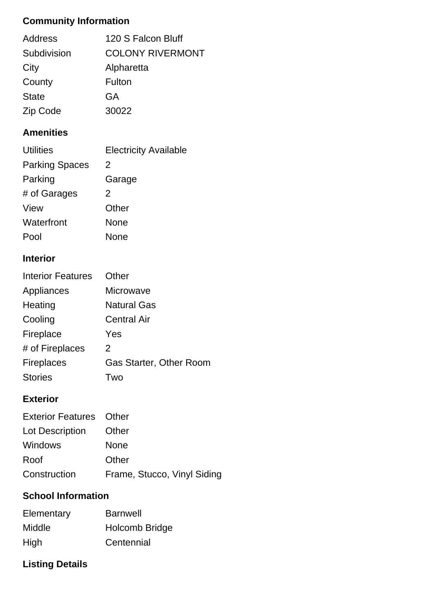# **Community Information**

| <b>Address</b> | 120 S Falcon Bluff      |
|----------------|-------------------------|
| Subdivision    | <b>COLONY RIVERMONT</b> |
| City           | Alpharetta              |
| County         | Fulton                  |
| <b>State</b>   | GA                      |
| Zip Code       | 30022                   |

### **Amenities**

| <b>Utilities</b>      | <b>Electricity Available</b> |
|-----------------------|------------------------------|
| <b>Parking Spaces</b> | 2                            |
| Parking               | Garage                       |
| # of Garages          | 2                            |
| View                  | Other                        |
| Waterfront            | None                         |
| Pool                  | None                         |

## **Interior**

| <b>Interior Features</b> | Other                          |
|--------------------------|--------------------------------|
| Appliances               | <b>Microwave</b>               |
| Heating                  | <b>Natural Gas</b>             |
| Cooling                  | <b>Central Air</b>             |
| Fireplace                | Yes                            |
| # of Fireplaces          | 2                              |
| <b>Fireplaces</b>        | <b>Gas Starter, Other Room</b> |
| <b>Stories</b>           | Two                            |

## **Exterior**

| <b>Exterior Features</b> Other |                             |
|--------------------------------|-----------------------------|
| Lot Description                | Other                       |
| Windows                        | None                        |
| Roof                           | Other                       |
| Construction                   | Frame, Stucco, Vinyl Siding |

# **School Information**

| Elementary | <b>Barnwell</b> |
|------------|-----------------|
| Middle     | Holcomb Bridge  |
| High       | Centennial      |

# **Listing Details**